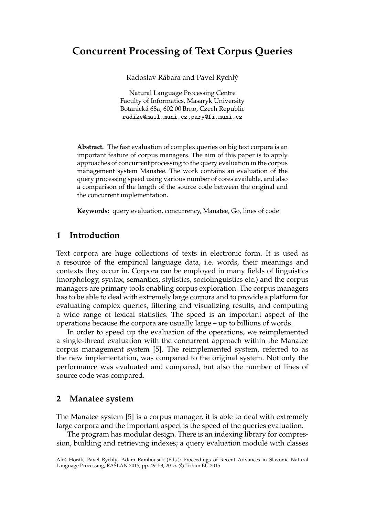# **Concurrent Processing of Text Corpus Queries**

Radoslav Rábara and Pavel Rychlý

Natural Language Processing Centre Faculty of Informatics, Masaryk University Botanická 68a, 602 00 Brno, Czech Republic radike@mail.muni.cz,pary@fi.muni.cz

**Abstract.** The fast evaluation of complex queries on big text corpora is an important feature of corpus managers. The aim of this paper is to apply approaches of concurrent processing to the query evaluation in the corpus management system Manatee. The work contains an evaluation of the query processing speed using various number of cores available, and also a comparison of the length of the source code between the original and the concurrent implementation.

**Keywords:** query evaluation, concurrency, Manatee, Go, lines of code

# **1 Introduction**

Text corpora are huge collections of texts in electronic form. It is used as a resource of the empirical language data, i.e. words, their meanings and contexts they occur in. Corpora can be employed in many fields of linguistics (morphology, syntax, semantics, stylistics, sociolinguistics etc.) and the corpus managers are primary tools enabling corpus exploration. The corpus managers has to be able to deal with extremely large corpora and to provide a platform for evaluating complex queries, filtering and visualizing results, and computing a wide range of lexical statistics. The speed is an important aspect of the operations because the corpora are usually large – up to billions of words.

In order to speed up the evaluation of the operations, we reimplemented a single-thread evaluation with the concurrent approach within the Manatee corpus management system [5]. The reimplemented system, referred to as the new implementation, was compared to the original system. Not only the performance was evaluated and compared, but also the number of lines of source code was compared.

### **2 Manatee system**

The Manatee system [5] is a corpus manager, it is able to deal with extremely large corpora and the important aspect is the speed of the queries evaluation.

The program has modular design. There is an indexing library for compression, building and retrieving indexes; a query evaluation module with classes

Aleš Horák, Pavel Rychlý, Adam Rambousek (Eds.): Proceedings of Recent Advances in Slavonic Natural Language Processing, RASLAN 2015, pp. 49-58, 2015. © Tribun EU 2015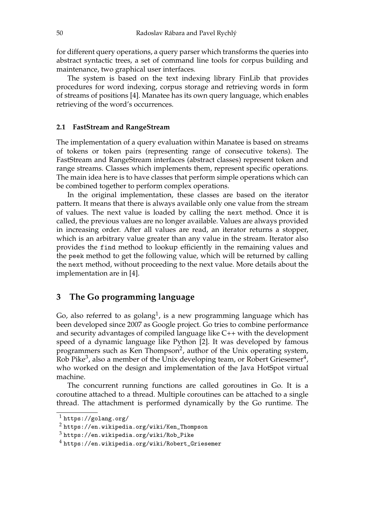for different query operations, a query parser which transforms the queries into abstract syntactic trees, a set of command line tools for corpus building and maintenance, two graphical user interfaces.

The system is based on the text indexing library FinLib that provides procedures for word indexing, corpus storage and retrieving words in form of streams of positions [4]. Manatee has its own query language, which enables retrieving of the word's occurrences.

#### **2.1 FastStream and RangeStream**

The implementation of a query evaluation within Manatee is based on streams of tokens or token pairs (representing range of consecutive tokens). The FastStream and RangeStream interfaces (abstract classes) represent token and range streams. Classes which implements them, represent specific operations. The main idea here is to have classes that perform simple operations which can be combined together to perform complex operations.

In the original implementation, these classes are based on the iterator pattern. It means that there is always available only one value from the stream of values. The next value is loaded by calling the next method. Once it is called, the previous values are no longer available. Values are always provided in increasing order. After all values are read, an iterator returns a stopper, which is an arbitrary value greater than any value in the stream. Iterator also provides the find method to lookup efficiently in the remaining values and the peek method to get the following value, which will be returned by calling the next method, without proceeding to the next value. More details about the implementation are in [4].

### **3 The Go programming language**

Go, also referred to as golang<sup>1</sup>, is a new programming language which has been developed since 2007 as Google project. Go tries to combine performance and security advantages of compiled language like C++ with the development speed of a dynamic language like Python [2]. It was developed by famous programmers such as Ken Thompson<sup>2</sup>, author of the Unix operating system, Rob Pike<sup>3</sup>, also a member of the Unix developing team, or Robert Griesemer<sup>4</sup>, who worked on the design and implementation of the Java HotSpot virtual machine.

The concurrent running functions are called goroutines in Go. It is a coroutine attached to a thread. Multiple coroutines can be attached to a single thread. The attachment is performed dynamically by the Go runtime. The

 $^{\rm 1}$  https://golang.org/

 $^2$  https://en.wikipedia.org/wiki/Ken\_Thompson

 $^3$  <code>https://en.wikipedia.org/wiki/Rob\_Pike</code>

 $^4$  https://en.wikipedia.org/wiki/Robert\_Griesemer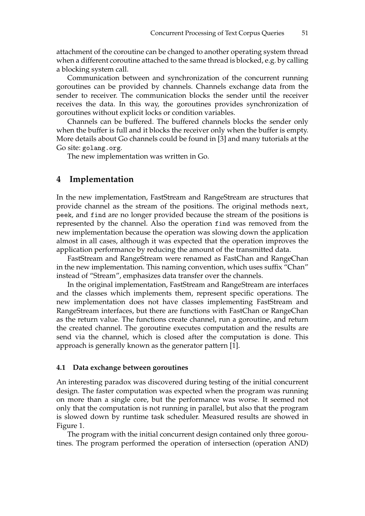attachment of the coroutine can be changed to another operating system thread when a different coroutine attached to the same thread is blocked, e.g. by calling a blocking system call.

Communication between and synchronization of the concurrent running goroutines can be provided by channels. Channels exchange data from the sender to receiver. The communication blocks the sender until the receiver receives the data. In this way, the goroutines provides synchronization of goroutines without explicit locks or condition variables.

Channels can be buffered. The buffered channels blocks the sender only when the buffer is full and it blocks the receiver only when the buffer is empty. More details about Go channels could be found in [3] and many tutorials at the Go site: golang.org.

The new implementation was written in Go.

# **4 Implementation**

In the new implementation, FastStream and RangeStream are structures that provide channel as the stream of the positions. The original methods next, peek, and find are no longer provided because the stream of the positions is represented by the channel. Also the operation find was removed from the new implementation because the operation was slowing down the application almost in all cases, although it was expected that the operation improves the application performance by reducing the amount of the transmitted data.

FastStream and RangeStream were renamed as FastChan and RangeChan in the new implementation. This naming convention, which uses suffix "Chan" instead of "Stream", emphasizes data transfer over the channels.

In the original implementation, FastStream and RangeStream are interfaces and the classes which implements them, represent specific operations. The new implementation does not have classes implementing FastStream and RangeStream interfaces, but there are functions with FastChan or RangeChan as the return value. The functions create channel, run a goroutine, and return the created channel. The goroutine executes computation and the results are send via the channel, which is closed after the computation is done. This approach is generally known as the generator pattern [1].

#### **4.1 Data exchange between goroutines**

An interesting paradox was discovered during testing of the initial concurrent design. The faster computation was expected when the program was running on more than a single core, but the performance was worse. It seemed not only that the computation is not running in parallel, but also that the program is slowed down by runtime task scheduler. Measured results are showed in Figure 1.

The program with the initial concurrent design contained only three goroutines. The program performed the operation of intersection (operation AND)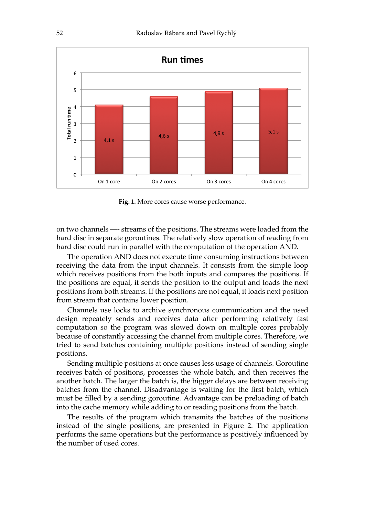

**Fig. 1.** More cores cause worse performance.

on two channels —- streams of the positions. The streams were loaded from the hard disc in separate goroutines. The relatively slow operation of reading from hard disc could run in parallel with the computation of the operation AND.

The operation AND does not execute time consuming instructions between receiving the data from the input channels. It consists from the simple loop which receives positions from the both inputs and compares the positions. If the positions are equal, it sends the position to the output and loads the next positions from both streams. If the positions are not equal, it loads next position from stream that contains lower position.

Channels use locks to archive synchronous communication and the used design repeately sends and receives data after performing relatively fast computation so the program was slowed down on multiple cores probably because of constantly accessing the channel from multiple cores. Therefore, we tried to send batches containing multiple positions instead of sending single positions.

Sending multiple positions at once causes less usage of channels. Goroutine receives batch of positions, processes the whole batch, and then receives the another batch. The larger the batch is, the bigger delays are between receiving batches from the channel. Disadvantage is waiting for the first batch, which must be filled by a sending goroutine. Advantage can be preloading of batch into the cache memory while adding to or reading positions from the batch.

The results of the program which transmits the batches of the positions instead of the single positions, are presented in Figure 2. The application performs the same operations but the performance is positively influenced by the number of used cores.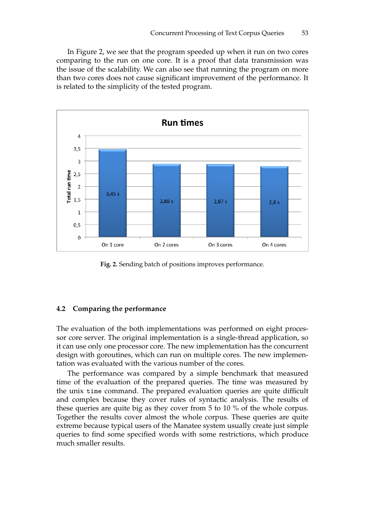In Figure 2, we see that the program speeded up when it run on two cores comparing to the run on one core. It is a proof that data transmission was the issue of the scalability. We can also see that running the program on more than two cores does not cause significant improvement of the performance. It is related to the simplicity of the tested program.



**Fig. 2.** Sending batch of positions improves performance.

#### **4.2 Comparing the performance**

The evaluation of the both implementations was performed on eight processor core server. The original implementation is a single-thread application, so it can use only one processor core. The new implementation has the concurrent design with goroutines, which can run on multiple cores. The new implementation was evaluated with the various number of the cores.

The performance was compared by a simple benchmark that measured time of the evaluation of the prepared queries. The time was measured by the unix time command. The prepared evaluation queries are quite difficult and complex because they cover rules of syntactic analysis. The results of these queries are quite big as they cover from 5 to 10 % of the whole corpus. Together the results cover almost the whole corpus. These queries are quite extreme because typical users of the Manatee system usually create just simple queries to find some specified words with some restrictions, which produce much smaller results.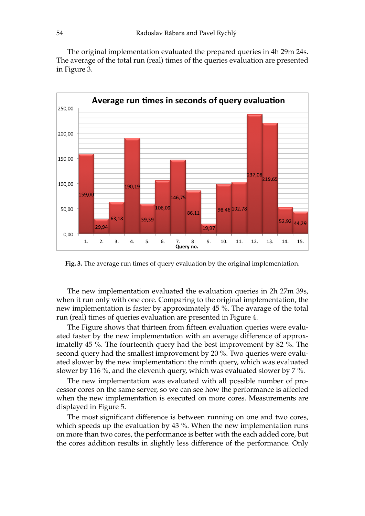The original implementation evaluated the prepared queries in 4h 29m 24s. The average of the total run (real) times of the queries evaluation are presented in Figure 3.



**Fig. 3.** The average run times of query evaluation by the original implementation.

The new implementation evaluated the evaluation queries in 2h 27m 39s, when it run only with one core. Comparing to the original implementation, the new implementation is faster by approximately 45 %. The avarage of the total run (real) times of queries evaluation are presented in Figure 4.

The Figure shows that thirteen from fifteen evaluation queries were evaluated faster by the new implementation with an average difference of approximatelly 45 %. The fourteenth query had the best improvement by 82 %. The second query had the smallest improvement by 20 %. Two queries were evaluated slower by the new implementation: the ninth query, which was evaluated slower by 116 %, and the eleventh query, which was evaluated slower by 7 %.

The new implementation was evaluated with all possible number of processor cores on the same server, so we can see how the performance is affected when the new implementation is executed on more cores. Measurements are displayed in Figure 5.

The most significant difference is between running on one and two cores, which speeds up the evaluation by 43 %. When the new implementation runs on more than two cores, the performance is better with the each added core, but the cores addition results in slightly less difference of the performance. Only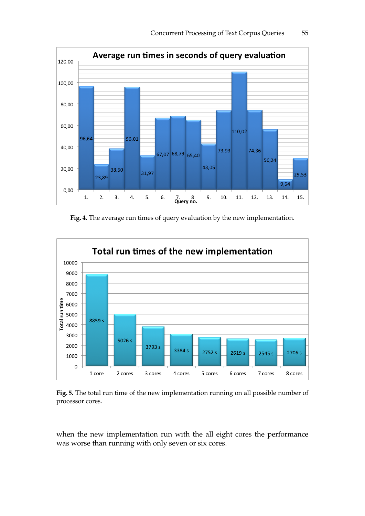

**Fig. 4.** The average run times of query evaluation by the new implementation.



**Fig. 5.** The total run time of the new implementation running on all possible number of processor cores.

when the new implementation run with the all eight cores the performance was worse than running with only seven or six cores.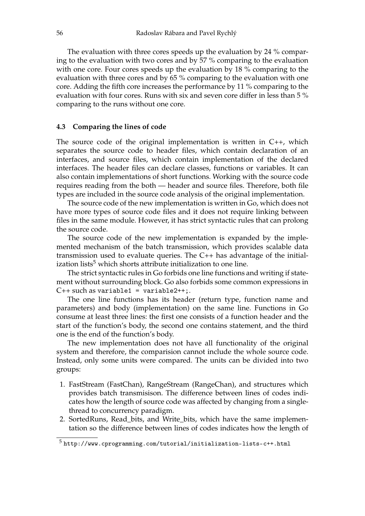The evaluation with three cores speeds up the evaluation by 24 % comparing to the evaluation with two cores and by 57 % comparing to the evaluation with one core. Four cores speeds up the evaluation by 18 % comparing to the evaluation with three cores and by 65 % comparing to the evaluation with one core. Adding the fifth core increases the performance by 11 % comparing to the evaluation with four cores. Runs with six and seven core differ in less than 5 % comparing to the runs without one core.

#### **4.3 Comparing the lines of code**

The source code of the original implementation is written in  $C_{++}$ , which separates the source code to header files, which contain declaration of an interfaces, and source files, which contain implementation of the declared interfaces. The header files can declare classes, functions or variables. It can also contain implementations of short functions. Working with the source code requires reading from the both — header and source files. Therefore, both file types are included in the source code analysis of the original implementation.

The source code of the new implementation is written in Go, which does not have more types of source code files and it does not require linking between files in the same module. However, it has strict syntactic rules that can prolong the source code.

The source code of the new implementation is expanded by the implemented mechanism of the batch transmission, which provides scalable data transmission used to evaluate queries. The C++ has advantage of the initialization lists<sup>5</sup> which shorts attribute initialization to one line.

The strict syntactic rules in Go forbids one line functions and writing if statement without surrounding block. Go also forbids some common expressions in  $C_{++}$  such as variable1 = variable2++;.

The one line functions has its header (return type, function name and parameters) and body (implementation) on the same line. Functions in Go consume at least three lines: the first one consists of a function header and the start of the function's body, the second one contains statement, and the third one is the end of the function's body.

The new implementation does not have all functionality of the original system and therefore, the comparision cannot include the whole source code. Instead, only some units were compared. The units can be divided into two groups:

- 1. FastStream (FastChan), RangeStream (RangeChan), and structures which provides batch transmisison. The difference between lines of codes indicates how the length of source code was affected by changing from a singlethread to concurrency paradigm.
- 2. SortedRuns, Read\_bits, and Write\_bits, which have the same implementation so the difference between lines of codes indicates how the length of

 $^5$ http://www.cprogramming.com/tutorial/initialization-lists-c++.html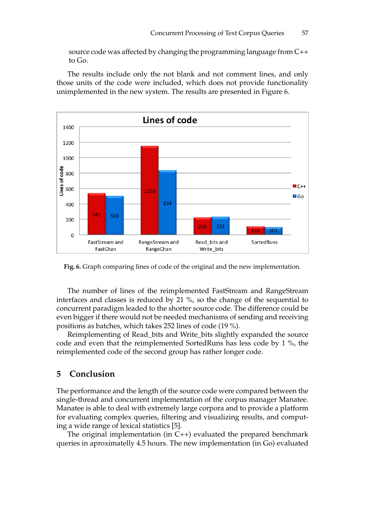source code was affected by changing the programming language from C++ to Go.

The results include only the not blank and not comment lines, and only those units of the code were included, which does not provide functionality unimplemented in the new system. The results are presented in Figure 6.



**Fig. 6.** Graph comparing lines of code of the original and the new implementation.

The number of lines of the reimplemented FastStream and RangeStream interfaces and classes is reduced by 21 %, so the change of the sequential to concurrent paradigm leaded to the shorter source code. The difference could be even bigger if there would not be needed mechanisms of sending and receiving positions as batches, which takes 252 lines of code (19 %).

Reimplementing of Read\_bits and Write\_bits slightly expanded the source code and even that the reimplemented SortedRuns has less code by 1 %, the reimplemented code of the second group has rather longer code.

# **5 Conclusion**

The performance and the length of the source code were compared between the single-thread and concurrent implementation of the corpus manager Manatee. Manatee is able to deal with extremely large corpora and to provide a platform for evaluating complex queries, filtering and visualizing results, and computing a wide range of lexical statistics [5].

The original implementation (in C++) evaluated the prepared benchmark queries in aproximatelly 4.5 hours. The new implementation (in Go) evaluated